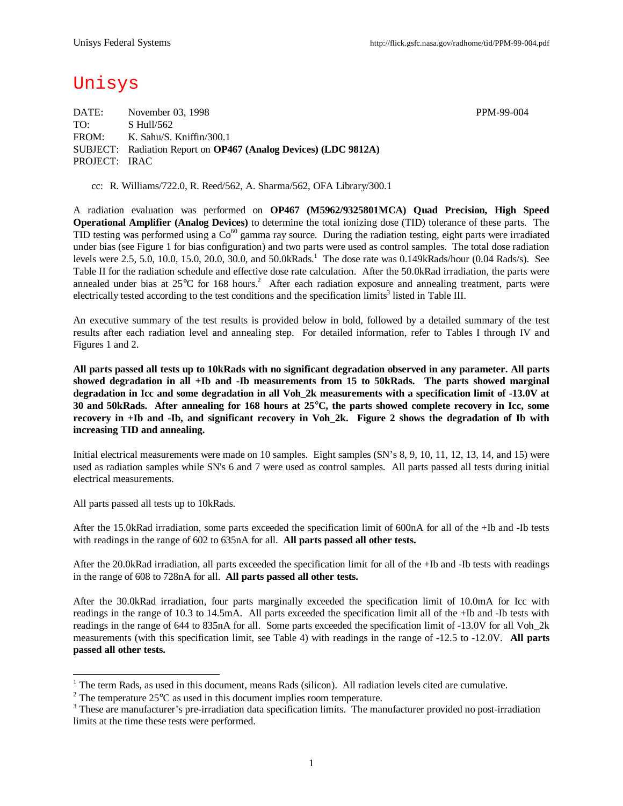# Unisys

DATE: November 03, 1998 PPM-99-004 TO: S Hull/562 FROM: K. Sahu/S. Kniffin/300.1 SUBJECT: Radiation Report on **OP467 (Analog Devices) (LDC 9812A)** PROJECT: IRAC

cc: R. Williams/722.0, R. Reed/562, A. Sharma/562, OFA Library/300.1

A radiation evaluation was performed on **OP467 (M5962/9325801MCA) Quad Precision, High Speed Operational Amplifier (Analog Devices)** to determine the total ionizing dose (TID) tolerance of these parts. The TID testing was performed using a  $Co^{60}$  gamma ray source. During the radiation testing, eight parts were irradiated under bias (see Figure 1 for bias configuration) and two parts were used as control samples. The total dose radiation levels were 2.5, 5.0, 10.0, 15.0, 20.0, 30.0, and 50.0kRads.<sup>1</sup> The dose rate was 0.149kRads/hour (0.04 Rads/s). See Table II for the radiation schedule and effective dose rate calculation. After the 50.0kRad irradiation, the parts were annealed under bias at 25°C for 168 hours.<sup>2</sup> After each radiation exposure and annealing treatment, parts were electrically tested according to the test conditions and the specification limits<sup>3</sup> listed in Table III.

An executive summary of the test results is provided below in bold, followed by a detailed summary of the test results after each radiation level and annealing step. For detailed information, refer to Tables I through IV and Figures 1 and 2.

**All parts passed all tests up to 10kRads with no significant degradation observed in any parameter. All parts showed degradation in all +Ib and -Ib measurements from 15 to 50kRads. The parts showed marginal degradation in Icc and some degradation in all Voh\_2k measurements with a specification limit of -13.0V at 30 and 50kRads. After annealing for 168 hours at 25°C, the parts showed complete recovery in Icc, some recovery in +Ib and -Ib, and significant recovery in Voh\_2k. Figure 2 shows the degradation of Ib with increasing TID and annealing.**

Initial electrical measurements were made on 10 samples. Eight samples (SN's 8, 9, 10, 11, 12, 13, 14, and 15) were used as radiation samples while SN's 6 and 7 were used as control samples. All parts passed all tests during initial electrical measurements.

All parts passed all tests up to 10kRads.

After the 15.0kRad irradiation, some parts exceeded the specification limit of 600nA for all of the +Ib and -Ib tests with readings in the range of 602 to 635nA for all. **All parts passed all other tests.**

After the 20.0kRad irradiation, all parts exceeded the specification limit for all of the +Ib and -Ib tests with readings in the range of 608 to 728nA for all. **All parts passed all other tests.**

After the 30.0kRad irradiation, four parts marginally exceeded the specification limit of 10.0mA for Icc with readings in the range of 10.3 to 14.5mA. All parts exceeded the specification limit all of the +Ib and -Ib tests with readings in the range of 644 to 835nA for all. Some parts exceeded the specification limit of -13.0V for all Voh\_2k measurements (with this specification limit, see Table 4) with readings in the range of -12.5 to -12.0V. **All parts passed all other tests.**

<sup>&</sup>lt;sup>1</sup> The term Rads, as used in this document, means Rads (silicon). All radiation levels cited are cumulative.

<sup>&</sup>lt;sup>2</sup> The temperature  $25^{\circ}$ C as used in this document implies room temperature.

 $3$  These are manufacturer's pre-irradiation data specification limits. The manufacturer provided no post-irradiation limits at the time these tests were performed.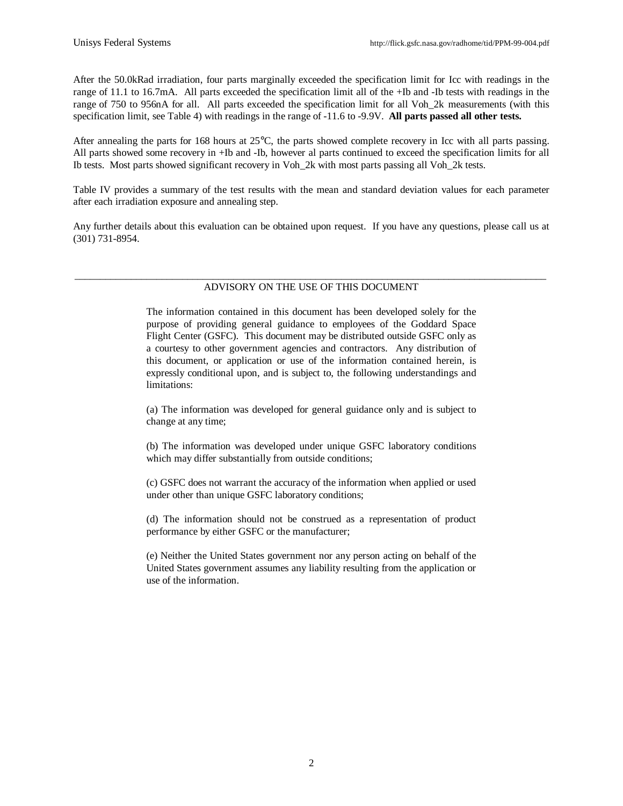After the 50.0kRad irradiation, four parts marginally exceeded the specification limit for Icc with readings in the range of 11.1 to 16.7mA. All parts exceeded the specification limit all of the +Ib and -Ib tests with readings in the range of 750 to 956nA for all. All parts exceeded the specification limit for all Voh\_2k measurements (with this specification limit, see Table 4) with readings in the range of -11.6 to -9.9V. **All parts passed all other tests.**

After annealing the parts for 168 hours at 25°C, the parts showed complete recovery in Icc with all parts passing. All parts showed some recovery in +Ib and -Ib, however al parts continued to exceed the specification limits for all Ib tests. Most parts showed significant recovery in Voh\_2k with most parts passing all Voh\_2k tests.

Table IV provides a summary of the test results with the mean and standard deviation values for each parameter after each irradiation exposure and annealing step.

Any further details about this evaluation can be obtained upon request. If you have any questions, please call us at (301) 731-8954.

### \_\_\_\_\_\_\_\_\_\_\_\_\_\_\_\_\_\_\_\_\_\_\_\_\_\_\_\_\_\_\_\_\_\_\_\_\_\_\_\_\_\_\_\_\_\_\_\_\_\_\_\_\_\_\_\_\_\_\_\_\_\_\_\_\_\_\_\_\_\_\_\_\_\_\_\_\_\_\_\_\_\_\_\_\_\_\_\_\_\_\_\_ ADVISORY ON THE USE OF THIS DOCUMENT

The information contained in this document has been developed solely for the purpose of providing general guidance to employees of the Goddard Space Flight Center (GSFC). This document may be distributed outside GSFC only as a courtesy to other government agencies and contractors. Any distribution of this document, or application or use of the information contained herein, is expressly conditional upon, and is subject to, the following understandings and limitations:

(a) The information was developed for general guidance only and is subject to change at any time;

(b) The information was developed under unique GSFC laboratory conditions which may differ substantially from outside conditions;

(c) GSFC does not warrant the accuracy of the information when applied or used under other than unique GSFC laboratory conditions;

(d) The information should not be construed as a representation of product performance by either GSFC or the manufacturer;

(e) Neither the United States government nor any person acting on behalf of the United States government assumes any liability resulting from the application or use of the information.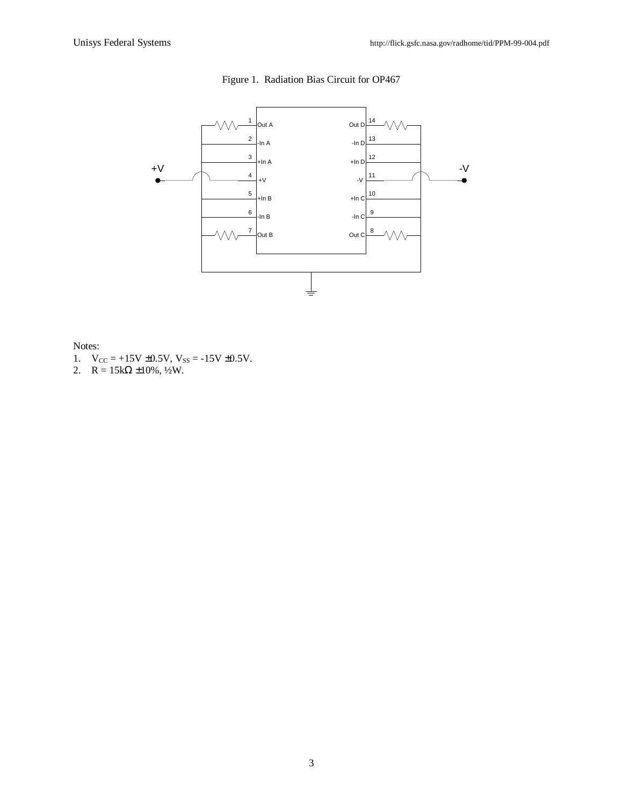

Figure 1. Radiation Bias Circuit for OP467

Notes:

- 1.  $V_{CC} = +15V \pm 0.5V$ ,  $V_{SS} = -15V \pm 0.5V$ .
- 2.  $R = 15k\Omega \pm 10\%, \frac{1}{2}W$ .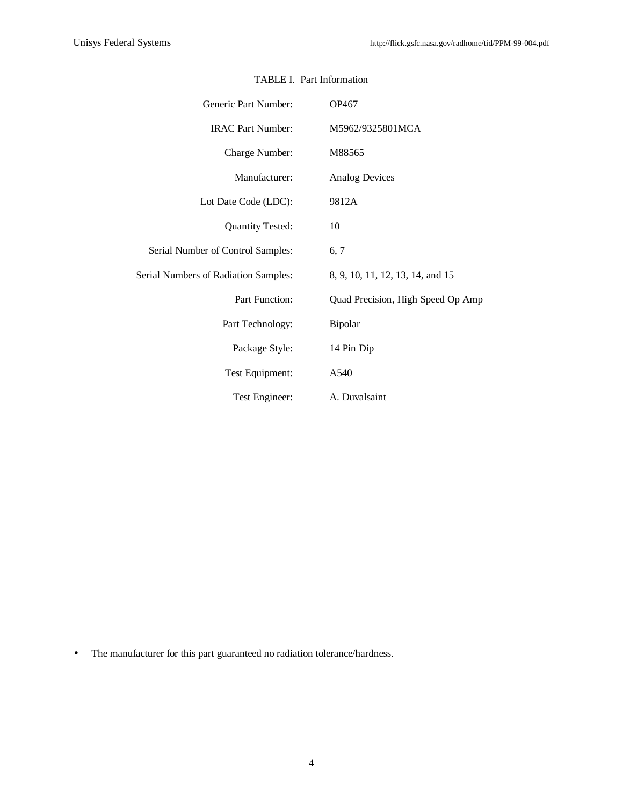| Generic Part Number:                 | OP467                             |  |  |  |  |  |  |  |
|--------------------------------------|-----------------------------------|--|--|--|--|--|--|--|
| <b>IRAC Part Number:</b>             | M5962/9325801MCA                  |  |  |  |  |  |  |  |
| Charge Number:                       | M88565                            |  |  |  |  |  |  |  |
| Manufacturer:                        | <b>Analog Devices</b>             |  |  |  |  |  |  |  |
| Lot Date Code (LDC):                 | 9812A                             |  |  |  |  |  |  |  |
| <b>Quantity Tested:</b>              | 10                                |  |  |  |  |  |  |  |
| Serial Number of Control Samples:    | 6, 7                              |  |  |  |  |  |  |  |
| Serial Numbers of Radiation Samples: | 8, 9, 10, 11, 12, 13, 14, and 15  |  |  |  |  |  |  |  |
| Part Function:                       | Quad Precision, High Speed Op Amp |  |  |  |  |  |  |  |
| Part Technology:                     | Bipolar                           |  |  |  |  |  |  |  |
| Package Style:                       | 14 Pin Dip                        |  |  |  |  |  |  |  |
| Test Equipment:                      | A540                              |  |  |  |  |  |  |  |
| Test Engineer:                       | A. Duvalsaint                     |  |  |  |  |  |  |  |

# TABLE I. Part Information

• The manufacturer for this part guaranteed no radiation tolerance/hardness.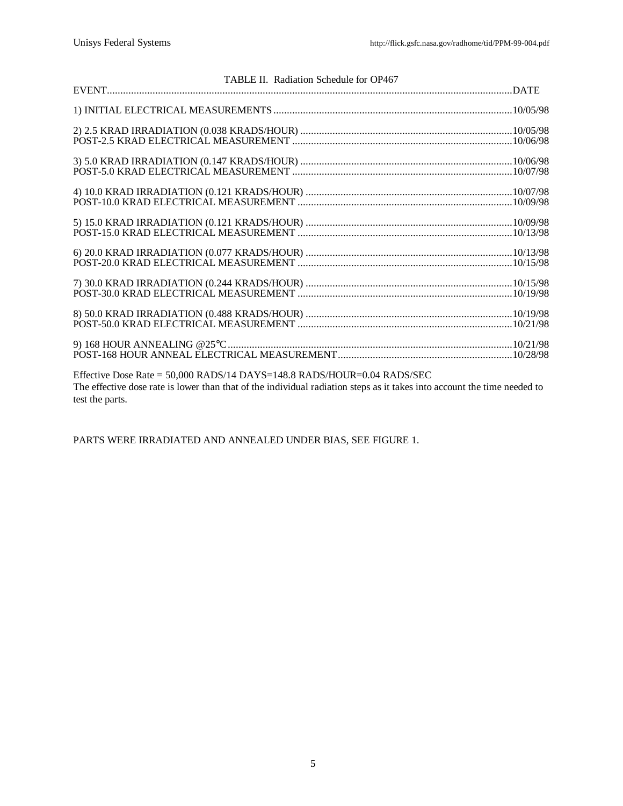|                                                                         | TABLE II. Radiation Schedule for OP467                                                                                   |  |
|-------------------------------------------------------------------------|--------------------------------------------------------------------------------------------------------------------------|--|
|                                                                         |                                                                                                                          |  |
|                                                                         |                                                                                                                          |  |
|                                                                         |                                                                                                                          |  |
|                                                                         |                                                                                                                          |  |
|                                                                         |                                                                                                                          |  |
|                                                                         |                                                                                                                          |  |
|                                                                         |                                                                                                                          |  |
|                                                                         |                                                                                                                          |  |
|                                                                         |                                                                                                                          |  |
|                                                                         |                                                                                                                          |  |
|                                                                         |                                                                                                                          |  |
|                                                                         |                                                                                                                          |  |
|                                                                         |                                                                                                                          |  |
|                                                                         |                                                                                                                          |  |
|                                                                         |                                                                                                                          |  |
|                                                                         |                                                                                                                          |  |
|                                                                         |                                                                                                                          |  |
|                                                                         |                                                                                                                          |  |
|                                                                         |                                                                                                                          |  |
|                                                                         |                                                                                                                          |  |
|                                                                         |                                                                                                                          |  |
|                                                                         |                                                                                                                          |  |
|                                                                         |                                                                                                                          |  |
|                                                                         |                                                                                                                          |  |
|                                                                         |                                                                                                                          |  |
|                                                                         |                                                                                                                          |  |
| Effective Dose Rate = 50,000 RADS/14 DAYS=148.8 RADS/HOUR=0.04 RADS/SEC |                                                                                                                          |  |
|                                                                         |                                                                                                                          |  |
|                                                                         | The effective dose rate is lower than that of the individual radiation steps as it takes into account the time needed to |  |
| test the parts.                                                         |                                                                                                                          |  |

PARTS WERE IRRADIATED AND ANNEALED UNDER BIAS, SEE FIGURE 1.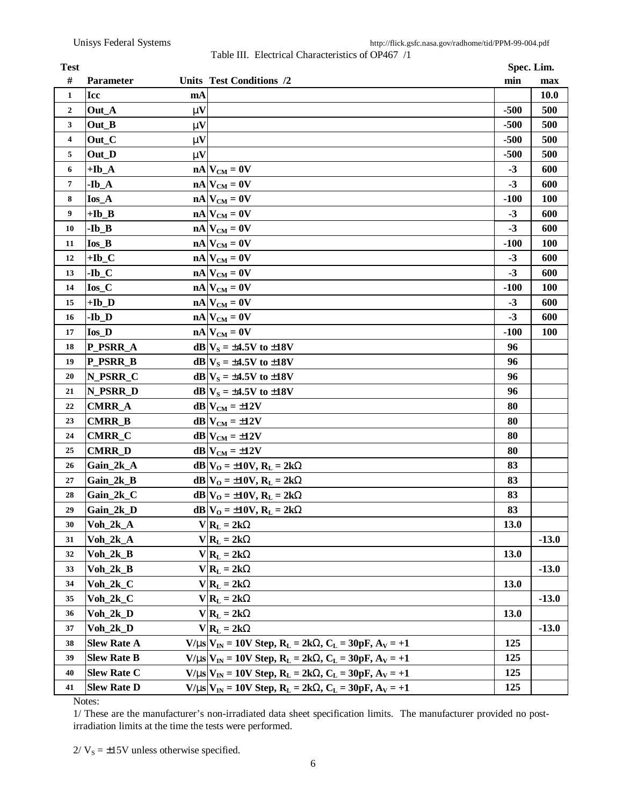Table III. Electrical Characteristics of OP467 /1

| <b>Test</b>             |                    |              |                                                                                 | Spec. Lim.  |             |
|-------------------------|--------------------|--------------|---------------------------------------------------------------------------------|-------------|-------------|
| #                       | <b>Parameter</b>   |              | Units Test Conditions /2                                                        | min         | max         |
| $\mathbf{1}$            | <b>Icc</b>         | mA           |                                                                                 |             | <b>10.0</b> |
| $\mathbf{2}$            | Out_A              | mV           |                                                                                 | $-500$      | 500         |
| 3                       | Out B              | $\mathbf{m}$ |                                                                                 | $-500$      | 500         |
| $\overline{\mathbf{4}}$ | Out_C              | mV           |                                                                                 | $-500$      | 500         |
| 5                       | Out_D              | $\mathbf{m}$ |                                                                                 | $-500$      | 500         |
| 6                       | $+Ib_A$            |              | $nA$ $V_{CM} = 0V$                                                              | $-3$        | 600         |
| $\overline{\mathbf{7}}$ | $-Ib_A$            |              | $nA$ $V_{CM} = 0V$                                                              | $-3$        | 600         |
| 8                       | $I$ os_A           |              | $nA$ $V_{CM} = 0V$                                                              | $-100$      | <b>100</b>  |
| 9                       | $+Ib$ <sub>B</sub> |              | $nA$ $V_{CM} = 0V$                                                              | $-3$        | 600         |
| 10                      | $-Ib$ <sub>B</sub> |              | $nA$ $V_{CM} = 0V$                                                              | $-3$        | 600         |
| 11                      | $I$ os $B$         |              | $nA$ $V_{CM} = 0V$                                                              | $-100$      | <b>100</b>  |
| 12                      | $+Ib_C$            |              | $nA$ $V_{CM} = 0V$                                                              | $-3$        | 600         |
| 13                      | $-Ib_C$            |              | $nA$ $V_{CM} = 0V$                                                              | $-3$        | 600         |
| 14                      | $I$ os $C$         |              | $nA$ $V_{CM} = 0V$                                                              | $-100$      | 100         |
| 15                      | $+Ib_D$            |              | $nA$ $V_{CM} = 0V$                                                              | $-3$        | 600         |
| 16                      | $-Ib_D$            |              | $nA$ $V_{CM} = 0V$                                                              | $-3$        | 600         |
| 17                      | <b>Ios_D</b>       |              | $nA$ $V_{CM} = 0V$                                                              | $-100$      | 100         |
| 18                      | P_PSRR_A           |              | $dB V_s = \pm 4.5V$ to $\pm 18V$                                                | 96          |             |
| 19                      | P_PSRR_B           |              | $dB V_s = \pm 4.5V$ to $\pm 18V$                                                | 96          |             |
| 20                      | N_PSRR_C           |              | $dB V_s = \pm 4.5V$ to $\pm 18V$                                                | 96          |             |
| 21                      | N_PSRR_D           |              | $dB V_s = \pm 4.5V$ to $\pm 18V$                                                | 96          |             |
| 22                      | <b>CMRR_A</b>      |              | $dB$ V <sub>CM</sub> = $\pm$ 12V                                                | 80          |             |
| 23                      | <b>CMRR_B</b>      |              | $dB$ V <sub>CM</sub> = $\pm$ 12V                                                | 80          |             |
| 24                      | <b>CMRR_C</b>      |              | $dB$ V <sub>CM</sub> = $\pm$ 12V                                                | 80          |             |
| 25                      | <b>CMRR_D</b>      |              | $dB$ V <sub>CM</sub> = $\pm$ 12V                                                | 80          |             |
| 26                      | Gain_2k_A          |              | $dB V_{O} = \pm 10V$ , $R_{L} = 2kW$                                            | 83          |             |
| 27                      | Gain_2k_B          |              | $dB V_{O} = \pm 10V$ , $R_{L} = 2kW$                                            | 83          |             |
| 28                      | Gain_2k_C          |              | $dB V_{O} = \pm 10V$ , $R_{L} = 2kW$                                            | 83          |             |
| 29                      | Gain_2k_D          |              | $dB V_{O} = \pm 10V$ , $R_{L} = 2kW$                                            | 83          |             |
| 30                      | $Voh_2k_A$         |              | $V R_L = 2kW$                                                                   | 13.0        |             |
| 31                      | $Voh_2k_A$         |              | $V R_L = 2kW$                                                                   |             | $-13.0$     |
| 32                      | $Voh_2k_B$         |              | $V R_L = 2kW$                                                                   | <b>13.0</b> |             |
| 33                      | $Voh_2k_B$         |              | $V R_L = 2kW$                                                                   |             | $-13.0$     |
| 34                      | $Voh_2k_C$         |              | $V R_L = 2kW$                                                                   | <b>13.0</b> |             |
| 35                      | $Voh_2k_C$         |              | $V R_L = 2kW$                                                                   |             | $-13.0$     |
| 36                      | $Voh_2k_D$         |              | $V R_L = 2kW$                                                                   | 13.0        |             |
| 37                      | $Voh_2k_D$         |              | $V R_L = 2kW$                                                                   |             | $-13.0$     |
| 38                      | <b>Slew Rate A</b> |              | $V/ms$ $V_{IN} = 10V$ Step, $R_L = 2kW$ , $C_L = 30pF$ , $A_V = +1$             | 125         |             |
| 39                      | <b>Slew Rate B</b> |              | $V/ms$ $V_{IN} = 10V$ Step, $R_L = 2kW$ , $C_L = 30pF$ , $A_V = +1$             | 125         |             |
| 40                      | <b>Slew Rate C</b> |              | <b>V/ms</b> $V_{IN}$ = 10V Step, $R_L$ = 2k <b>W</b> , $C_L$ = 30pF, $A_V$ = +1 | 125         |             |
| 41                      | <b>Slew Rate D</b> |              | $V/ms$ $V_{IN}$ = 10V Step, $R_L$ = 2kW, $C_L$ = 30pF, $A_V$ = +1               | 125         |             |

Notes:

1/ These are the manufacturer's non-irradiated data sheet specification limits. The manufacturer provided no postirradiation limits at the time the tests were performed.

 $2/V_s = \pm 15V$  unless otherwise specified.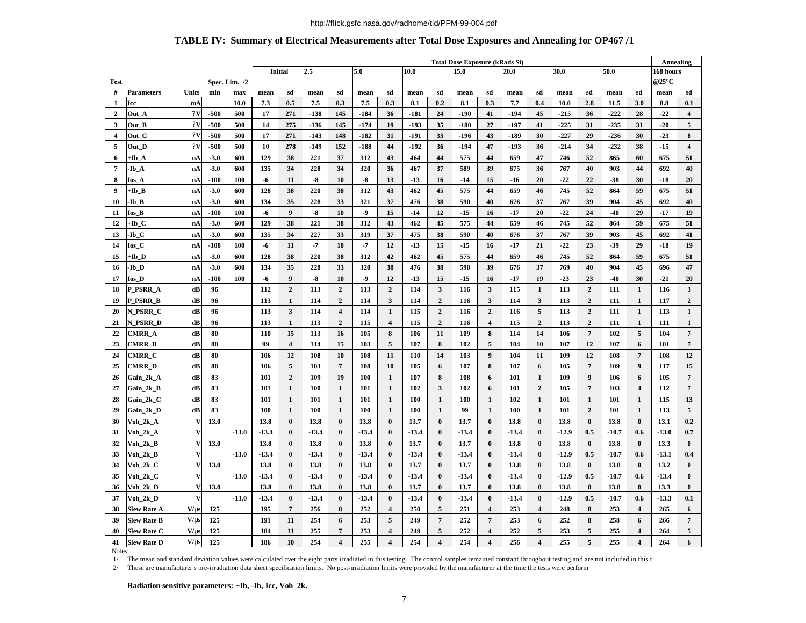#### http://flick.gsfc.nasa.gov/radhome/tid/PPM-99-004.pdf

## **TABLE IV: Summary of Electrical Measurements after Total Dose Exposures and Annealing for OP467 /1**

|                         |                    |              |        |               |         |                 | <b>Total Dose Exposure (kRads Si)</b> |                             |         |                         |         |                |              |                         |         |                         | <b>Annealing</b> |                 |         |                         |         |                         |
|-------------------------|--------------------|--------------|--------|---------------|---------|-----------------|---------------------------------------|-----------------------------|---------|-------------------------|---------|----------------|--------------|-------------------------|---------|-------------------------|------------------|-----------------|---------|-------------------------|---------|-------------------------|
|                         |                    |              |        |               |         | Initial         | 2.5                                   | 5.0<br>10.0<br>15.0<br>20.0 |         |                         |         |                | 30.0<br>50.0 |                         |         |                         | 168 hours        |                 |         |                         |         |                         |
| <b>Test</b>             |                    |              |        | Spec. Lim. /2 |         |                 |                                       |                             |         |                         |         |                |              |                         |         |                         |                  |                 |         |                         | @25°C   |                         |
| #                       | <b>Parameters</b>  | Units        | min    | max           | mean    | sd              | mean                                  | sd                          | mean    | sd                      | mean    | sd             | mean         | sd                      | mean    | sd                      | mean             | sd              | mean    | sd                      | mean    | sd                      |
| 1                       | Icc                | mA           |        | 10.0          | 7.3     | 0.5             | 7.5                                   | 0.3                         | 7.5     | 0.3                     | 8.1     | 0.2            | 8.1          | 0.3                     | 7.7     | 0.4                     | 10.0             | 2.8             | 11.5    | 3.0                     | 8.8     | 0.1                     |
| $\mathbf{2}$            | Out A              | 2V           | $-500$ | 500           | 17      | 271             | -138                                  | 145                         | $-184$  | 36                      | $-181$  | 24             | -190         | 41                      | -194    | 45                      | $-215$           | 36              | $-222$  | 28                      | $-22$   | $\overline{\mathbf{4}}$ |
| 3                       | Out B              | 2V           | -500   | 500           | 14      | 275             | $-136$                                | 145                         | $-174$  | 19                      | $-193$  | 35             | -180         | 27                      | -197    | 41                      | $-225$           | 31              | $-235$  | 31                      | $-20$   | 5                       |
| $\overline{\mathbf{4}}$ | Out C              | 2V           | -500   | 500           | 17      | 271             | -143                                  | 148                         | $-182$  | 31                      | -191    | 33             | -196         | 43                      | -189    | 30                      | $-227$           | 29              | $-236$  | 30                      | $-23$   | 8                       |
| 5                       | Out D              | 2V           | $-500$ | 500           | 10      | 278             | -149                                  | 152                         | $-188$  | 44                      | $-192$  | 36             | -194         | 47                      | $-193$  | 36                      | $-214$           | 34              | $-232$  | 38                      | $-15$   | $\overline{\mathbf{4}}$ |
| 6                       | +Ib A              | nA           | $-3.0$ | 600           | 129     | 38              | 221                                   | 37                          | 312     | 43                      | 464     | 44             | 575          | 44                      | 659     | 47                      | 746              | 52              | 865     | 60                      | 675     | 51                      |
| $\overline{7}$          | -Ib A              | nA           | $-3.0$ | 600           | 135     | 34              | 228                                   | 34                          | 320     | 36                      | 467     | 37             | 589          | 39                      | 675     | 36                      | 767              | 40              | 903     | 44                      | 692     | 40                      |
| 8                       | Ios A              | nA           | $-100$ | 100           | -6      | 11              | $-8$                                  | 10                          | $-8$    | 13                      | $-13$   | 16             | $-14$        | 15                      | $-16$   | 20                      | $-22$            | 22              | $-38$   | 30                      | -18     | 20                      |
| 9                       | +Ib B              | nA           | $-3.0$ | 600           | 128     | 38              | 220                                   | 38                          | 312     | 43                      | 462     | 45             | 575          | 44                      | 659     | 46                      | 745              | 52              | 864     | 59                      | 675     | 51                      |
| 10                      | -Ib B              | nA           | $-3.0$ | 600           | 134     | 35              | 228                                   | 33                          | 321     | 37                      | 476     | 38             | 590          | 40                      | 676     | 37                      | 767              | 39              | 904     | 45                      | 692     | 40                      |
| 11                      | Ios B              | nA           | $-100$ | 100           | -6      | 9               | -8                                    | 10                          | -9      | 15                      | $-14$   | 12             | $-15$        | 16                      | $-17$   | 20                      | $-22$            | 24              | $-40$   | 29                      | -17     | 19                      |
| 12                      | +Ib C              | nA           | $-3.0$ | 600           | 129     | 38              | 221                                   | 38                          | 312     | 43                      | 462     | 45             | 575          | 44                      | 659     | 46                      | 745              | 52              | 864     | 59                      | 675     | 51                      |
| 13                      | -Ib C              | nA           | $-3.0$ | 600           | 135     | 34              | 227                                   | 33                          | 319     | 37                      | 475     | 38             | 590          | 40                      | 676     | 37                      | 767              | 39              | 903     | 45                      | 692     | 41                      |
| 14                      | Ios C              | nA           | $-100$ | 100           | -6      | 11              | -7                                    | 10                          | $-7$    | 12                      | $-13$   | 15             | $-15$        | 16                      | -17     | 21                      | $-22$            | 23              | $-39$   | 29                      | -18     | 19                      |
| 15                      | +Ib D              | nA           | $-3.0$ | 600           | 128     | 38              | 220                                   | 38                          | 312     | 42                      | 462     | 45             | 575          | 44                      | 659     | 46                      | 745              | 52              | 864     | 59                      | 675     | 51                      |
| 16                      | -Ib D              | nA           | $-3.0$ | 600           | 134     | 35              | 228                                   | 33                          | 320     | 38                      | 476     | 38             | 590          | 39                      | 676     | 37                      | 769              | 40              | 904     | 45                      | 696     | 47                      |
| 17                      | <b>Ios D</b>       | nA           | $-100$ | 100           | -6      | 9               | $-8$                                  | 10                          | $-9$    | 12                      | $-13$   | 15             | $-15$        | 16                      | $-17$   | 19                      | $-23$            | 23              | $-40$   | 30                      | $-21$   | 20                      |
| 18                      | P_PSRR_A           | dB           | 96     |               | 112     | $\overline{2}$  | 113                                   | $\overline{2}$              | 113     | $\mathbf{2}$            | 114     | 3              | 116          | $\mathbf{3}$            | 115     | $\mathbf{1}$            | 113              | $\overline{2}$  | 111     | $\mathbf{1}$            | 116     | 3                       |
| 19                      | <b>P_PSRR_B</b>    | dB           | 96     |               | 113     | $\mathbf{1}$    | 114                                   | $\boldsymbol{2}$            | 114     | $\mathbf{3}$            | 114     | $\overline{2}$ | 116          | $\mathbf{3}$            | 114     | 3                       | 113              | $\overline{2}$  | 111     | $\mathbf{1}$            | 117     | $\overline{2}$          |
| 20                      | N PSRR C           | dB           | 96     |               | 113     | $\mathbf{3}$    | 114                                   | $\overline{\mathbf{4}}$     | 114     | 1                       | 115     | $\overline{2}$ | 116          | $\overline{2}$          | 116     | 5                       | 113              | $\overline{2}$  | 111     | $\mathbf{1}$            | 113     | $\mathbf{1}$            |
| 21                      | N PSRR D           | dB           | 96     |               | 113     | 1               | 113                                   | $\overline{2}$              | 115     | $\overline{\mathbf{4}}$ | 115     | $\overline{2}$ | 116          | $\overline{\mathbf{4}}$ | 115     | $\overline{2}$          | 113              | $\overline{2}$  | 111     | $\mathbf{1}$            | 111     | $\mathbf{1}$            |
| 22                      | CMRR A             | dB           | 80     |               | 110     | 15              | 113                                   | 16                          | 105     | 8                       | 106     | 11             | 109          | 8                       | 114     | 14                      | 106              | $7\phantom{.0}$ | 102     | 5                       | 104     | $\overline{7}$          |
| 23                      | <b>CMRR B</b>      | dB           | 80     |               | 99      | $\overline{4}$  | 114                                   | 15                          | 103     | 5                       | 107     | 8              | 102          | $\overline{5}$          | 104     | 10                      | 107              | 12              | 107     | 6                       | 101     | $\overline{7}$          |
| 24                      | CMRR C             | dB           | 80     |               | 106     | 12              | 108                                   | 10                          | 108     | 11                      | 110     | 14             | 103          | 9                       | 104     | 11                      | 109              | 12              | 108     | $\overline{7}$          | 108     | 12                      |
| 25                      | <b>CMRR D</b>      | dB           | 80     |               | 106     | 5               | 103                                   | $\overline{7}$              | 108     | 10                      | 105     | 6              | 107          | 8                       | 107     | 6                       | 105              | $7\phantom{.0}$ | 109     | $\boldsymbol{9}$        | 117     | 15                      |
| 26                      | Gain_2k_A          | dB           | 83     |               | 101     | $\overline{2}$  | 109                                   | 19                          | 100     | $\mathbf{1}$            | 107     | 8              | 108          | 6                       | 101     | $\mathbf{1}$            | 109              | 9               | 106     | 6                       | 105     | $7\phantom{.0}$         |
| 27                      | Gain 2k B          | dB           | 83     |               | 101     | $\mathbf{1}$    | 100                                   | 1                           | 101     | $\mathbf{1}$            | 102     | $\mathbf{3}$   | 102          | 6                       | 101     | $\overline{2}$          | 105              | $7\phantom{.0}$ | 103     | $\overline{\mathbf{4}}$ | 112     | $7\phantom{.0}$         |
| 28                      | Gain_2k_C          | dB           | 83     |               | 101     | $\mathbf{1}$    | 101                                   | $\mathbf{1}$                | 101     | $\mathbf{1}$            | 100     | $\mathbf{1}$   | 100          | $\mathbf{1}$            | 102     | $\mathbf{1}$            | 101              | $\mathbf{1}$    | 101     | $\mathbf{1}$            | 115     | 13                      |
| 29                      | Gain 2k D          | dB           | 83     |               | 100     | $\mathbf{1}$    | 100                                   | $\mathbf{1}$                | 100     | $\mathbf{1}$            | 100     | $\mathbf{1}$   | 99           | $\mathbf{1}$            | 100     | $\mathbf{1}$            | 101              | $\overline{2}$  | 101     | $\mathbf{1}$            | 113     | 5                       |
| 30                      | Voh_2k_A           | V            | 13.0   |               | 13.8    | $\bf{0}$        | 13.8                                  | $\bf{0}$                    | 13.8    | $\bf{0}$                | 13.7    | $\bf{0}$       | 13.7         | $\bf{0}$                | 13.8    | $\bf{0}$                | 13.8             | $\bf{0}$        | 13.8    | $\bf{0}$                | 13.1    | 0.2                     |
| 31                      | Voh 2k A           | V            |        | $-13.0$       | $-13.4$ | $\bf{0}$        | $-13.4$                               | $\bf{0}$                    | $-13.4$ | $\bf{0}$                | $-13.4$ | $\bf{0}$       | $-13.4$      | $\bf{0}$                | $-13.4$ | $\bf{0}$                | $-12.9$          | 0.5             | $-10.7$ | 0.6                     | -13.0   | 0.7                     |
| 32                      | Voh 2k B           | V            | 13.0   |               | 13.8    | $\bf{0}$        | 13.8                                  | $\bf{0}$                    | 13.8    | $\bf{0}$                | 13.7    | $\bf{0}$       | 13.7         | $\bf{0}$                | 13.8    | $\bf{0}$                | 13.8             | $\bf{0}$        | 13.8    | $\bf{0}$                | 13.3    | $\bf{0}$                |
| 33                      | Voh_2k_B           | V            |        | $-13.0$       | $-13.4$ | $\bf{0}$        | $-13.4$                               | $\bf{0}$                    | $-13.4$ | $\bf{0}$                | $-13.4$ | $\bf{0}$       | $-13.4$      | $\bf{0}$                | $-13.4$ | $\bf{0}$                | $-12.9$          | 0.5             | $-10.7$ | 0.6                     | $-13.1$ | 0.4                     |
| 34                      | Voh 2k C           | V            | 13.0   |               | 13.8    | $\bf{0}$        | 13.8                                  | $\bf{0}$                    | 13.8    | $\bf{0}$                | 13.7    | $\bf{0}$       | 13.7         | $\bf{0}$                | 13.8    | $\bf{0}$                | 13.8             | $\bf{0}$        | 13.8    | $\bf{0}$                | 13.2    | $\bf{0}$                |
| 35                      | Voh 2k C           | V            |        | $-13.0$       | $-13.4$ | $\bf{0}$        | $-13.4$                               | $\bf{0}$                    | $-13.4$ | $\bf{0}$                | $-13.4$ | $\bf{0}$       | $-13.4$      | $\bf{0}$                | $-13.4$ | $\bf{0}$                | $-12.9$          | 0.5             | $-10.7$ | 0.6                     | $-13.4$ | $\bf{0}$                |
| 36                      | Voh 2k D           | $\mathbf{V}$ | 13.0   |               | 13.8    | $\bf{0}$        | 13.8                                  | $\bf{0}$                    | 13.8    | $\bf{0}$                | 13.7    | $\bf{0}$       | 13.7         | $\bf{0}$                | 13.8    | $\bf{0}$                | 13.8             | $\bf{0}$        | 13.8    | $\bf{0}$                | 13.3    | $\bf{0}$                |
| 37                      | Voh 2k D           | $\mathbf{V}$ |        | $-13.0$       | $-13.4$ | $\bf{0}$        | $-13.4$                               | $\bf{0}$                    | $-13.4$ | $\bf{0}$                | $-13.4$ | $\bf{0}$       | $-13.4$      | $\bf{0}$                | $-13.4$ | $\bf{0}$                | $-12.9$          | 0.5             | $-10.7$ | 0.6                     | $-13.3$ | 0.1                     |
| 38                      | <b>Slew Rate A</b> | V/ms         | 125    |               | 195     | $7\phantom{.0}$ | 256                                   | 8                           | 252     | $\overline{\mathbf{4}}$ | 250     | 5              | 251          | $\overline{4}$          | 253     | $\overline{\mathbf{4}}$ | 248              | 8               | 253     | $\overline{4}$          | 265     | 6                       |
| 39                      | <b>Slew Rate B</b> | V/m          | 125    |               | 191     | 11              | 254                                   | 6                           | 253     | 5                       | 249     | $\overline{7}$ | 252          | $\overline{7}$          | 253     | 6                       | 252              | 8               | 258     | 6                       | 266     | $7\phantom{.0}$         |
| 40                      | <b>Slew Rate C</b> | V/m          | 125    |               | 184     | 11              | 255                                   | 7                           | 253     | $\overline{\mathbf{4}}$ | 249     | 5              | 252          | $\overline{\mathbf{4}}$ | 252     | 5                       | 253              | 5               | 255     | 4                       | 264     | 5                       |
| 41                      | <b>Slew Rate D</b> | V/ms         | 125    |               | 186     | 10              | 254                                   | $\overline{\mathbf{4}}$     | 255     | $\overline{\mathbf{4}}$ | 254     | $\overline{4}$ | 254          | $\overline{\mathbf{4}}$ | 256     | $\overline{\mathbf{4}}$ | 255              | 5               | 255     | $\overline{\mathbf{4}}$ | 264     | 6                       |
|                         |                    |              |        |               |         |                 |                                       |                             |         |                         |         |                |              |                         |         |                         |                  |                 |         |                         |         |                         |

Notes:

1/ The mean and standard deviation values were calculated over the eight parts irradiated in this testing. The control samples remained constant throughout testing and are not included in this t

2/ These are manufacturer's pre-irradiation data sheet specification limits. No post-irradiation limits were provided by the manufacturer at the time the tests were performed.